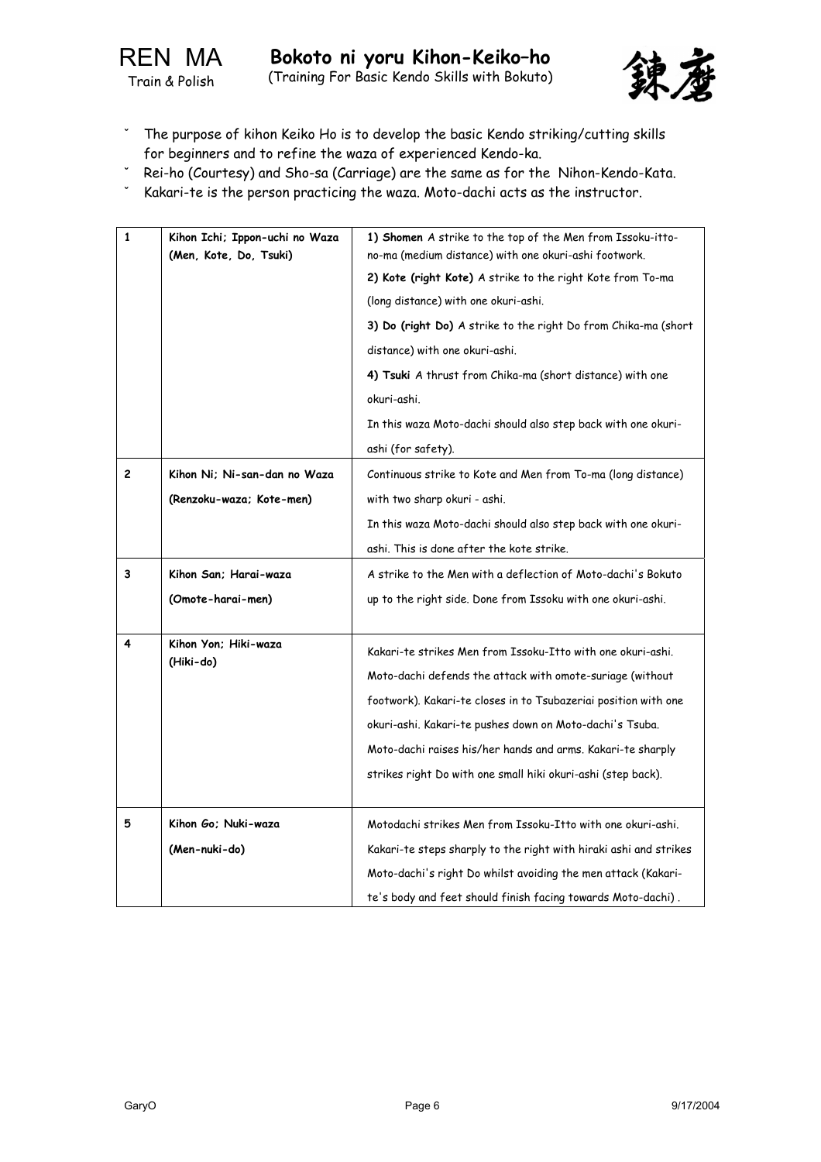

- The purpose of kihon Keiko Ho is to develop the basic Kendo striking/cutting skills for beginners and to refine the waza of experienced Kendo-ka.
- Rei-ho (Courtesy) and Sho-sa (Carriage) are the same as for the Nihon-Kendo-Kata.
- Kakari-te is the person practicing the waza. Moto-dachi acts as the instructor.

| $\mathbf{1}$   | Kihon Ichi; Ippon-uchi no Waza<br>(Men, Kote, Do, Tsuki) | 1) Shomen A strike to the top of the Men from Issoku-itto-<br>no-ma (medium distance) with one okuri-ashi footwork. |
|----------------|----------------------------------------------------------|---------------------------------------------------------------------------------------------------------------------|
|                |                                                          | 2) Kote (right Kote) A strike to the right Kote from To-ma                                                          |
|                |                                                          | (long distance) with one okuri-ashi.                                                                                |
|                |                                                          | 3) Do (right Do) A strike to the right Do from Chika-ma (short                                                      |
|                |                                                          | distance) with one okuri-ashi.                                                                                      |
|                |                                                          | 4) Tsuki A thrust from Chika-ma (short distance) with one                                                           |
|                |                                                          | okuri-ashi.                                                                                                         |
|                |                                                          | In this waza Moto-dachi should also step back with one okuri-                                                       |
|                |                                                          | ashi (for safety).                                                                                                  |
| $\overline{c}$ | Kihon Ni; Ni-san-dan no Waza                             | Continuous strike to Kote and Men from To-ma (long distance)                                                        |
|                | (Renzoku-waza; Kote-men)                                 | with two sharp okuri - ashi.                                                                                        |
|                |                                                          | In this waza Moto-dachi should also step back with one okuri-                                                       |
|                |                                                          | ashi. This is done after the kote strike.                                                                           |
| 3              | Kihon San: Harai-waza                                    | A strike to the Men with a deflection of Moto-dachi's Bokuto                                                        |
|                | (Omote-harai-men)                                        | up to the right side. Done from Issoku with one okuri-ashi.                                                         |
|                |                                                          |                                                                                                                     |
| 4              | Kihon Yon: Hiki-waza                                     | Kakari-te strikes Men from Issoku-Itto with one okuri-ashi.                                                         |
|                | (Hiki-do)                                                | Moto-dachi defends the attack with omote-suriage (without                                                           |
|                |                                                          | footwork). Kakari-te closes in to Tsubazeriai position with one                                                     |
|                |                                                          | okuri-ashi. Kakari-te pushes down on Moto-dachi's Tsuba.                                                            |
|                |                                                          | Moto-dachi raises his/her hands and arms. Kakari-te sharply                                                         |
|                |                                                          | strikes right Do with one small hiki okuri-ashi (step back).                                                        |
|                |                                                          |                                                                                                                     |
| 5              | Kihon Go: Nuki-waza                                      | Motodachi strikes Men from Issoku-Itto with one okuri-ashi.                                                         |
|                | (Men-nuki-do)                                            | Kakari-te steps sharply to the right with hiraki ashi and strikes                                                   |
|                |                                                          | Moto-dachi's right Do whilst avoiding the men attack (Kakari-                                                       |
|                |                                                          | te's body and feet should finish facing towards Moto-dachi).                                                        |
|                |                                                          |                                                                                                                     |